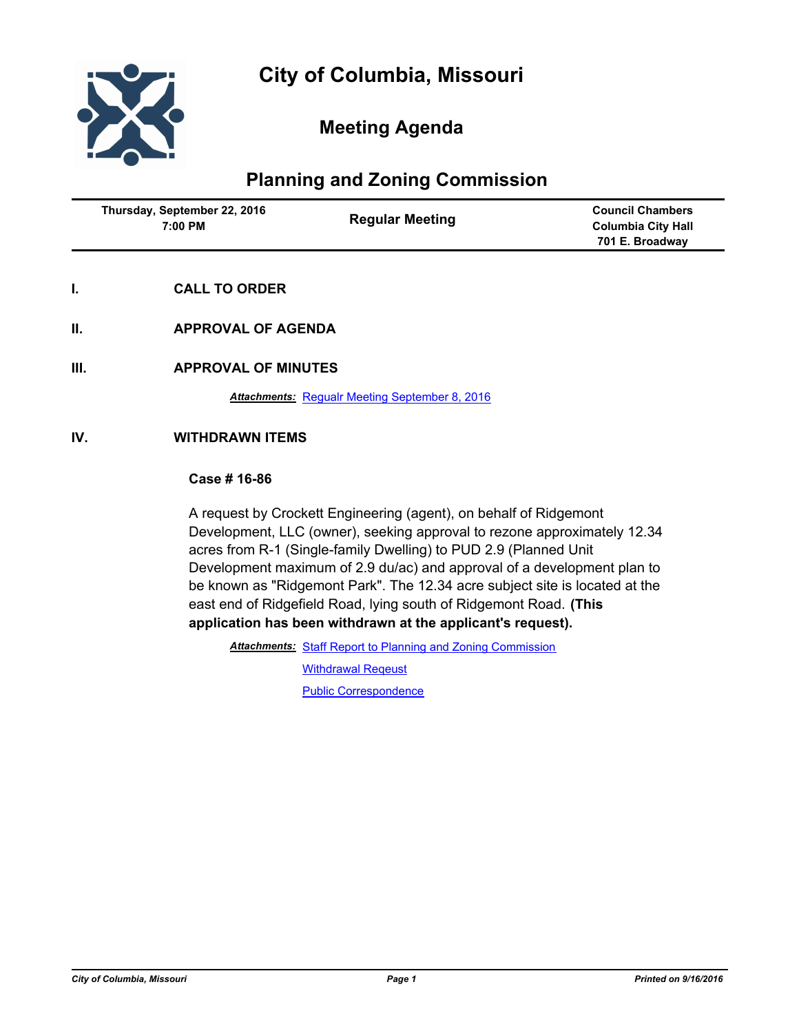

## **Meeting Agenda**

# **Planning and Zoning Commission**

| Thursday, September 22, 2016<br>7:00 PM | <b>Regular Meeting</b> | <b>Council Chambers</b><br>Columbia City Hall<br>701 E. Broadway |
|-----------------------------------------|------------------------|------------------------------------------------------------------|
|                                         |                        |                                                                  |

- **I. CALL TO ORDER**
- **II. APPROVAL OF AGENDA**
- **III. APPROVAL OF MINUTES**

*Attachments:* [Regualr Meeting September 8, 2016](http://gocolumbiamo.legistar.com/gateway.aspx?M=F&ID=03900ba1-bf24-4be0-a0a9-a224d145f1ba.docx)

## **IV. WITHDRAWN ITEMS**

## **Case # 16-86**

A request by Crockett Engineering (agent), on behalf of Ridgemont Development, LLC (owner), seeking approval to rezone approximately 12.34 acres from R-1 (Single-family Dwelling) to PUD 2.9 (Planned Unit Development maximum of 2.9 du/ac) and approval of a development plan to be known as "Ridgemont Park". The 12.34 acre subject site is located at the east end of Ridgefield Road, lying south of Ridgemont Road. **(This application has been withdrawn at the applicant's request).**

Attachments: [Staff Report to Planning and Zoning Commission](http://gocolumbiamo.legistar.com/gateway.aspx?M=F&ID=d99d4c55-f951-43b4-9d44-420a2e7b94a7.pdf)

[Withdrawal Reqeust](http://gocolumbiamo.legistar.com/gateway.aspx?M=F&ID=15b9ed5a-c48f-4ccc-a0f7-e8fad438bf79.pdf)

[Public Correspondence](http://gocolumbiamo.legistar.com/gateway.aspx?M=F&ID=7f41210c-a4f2-45af-9a4b-82adfbb35124.pdf)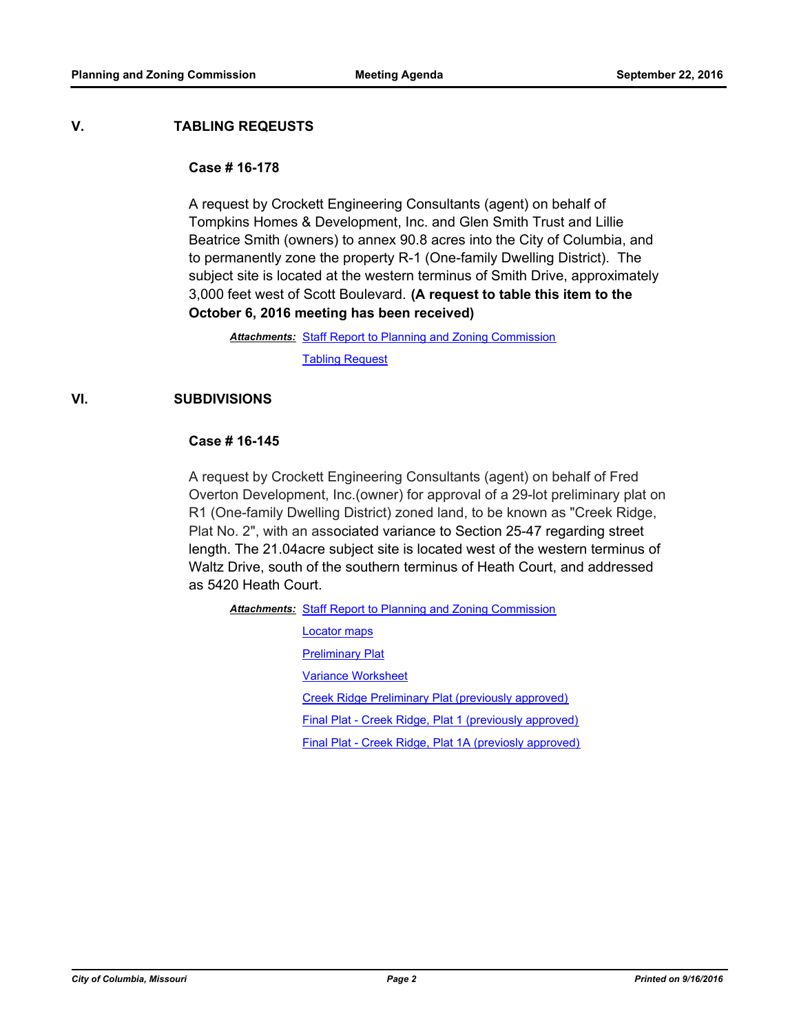#### **V. TABLING REQEUSTS**

#### **Case # 16-178**

A request by Crockett Engineering Consultants (agent) on behalf of Tompkins Homes & Development, Inc. and Glen Smith Trust and Lillie Beatrice Smith (owners) to annex 90.8 acres into the City of Columbia, and to permanently zone the property R-1 (One-family Dwelling District). The subject site is located at the western terminus of Smith Drive, approximately 3,000 feet west of Scott Boulevard. **(A request to table this item to the October 6, 2016 meeting has been received)**

Attachments: [Staff Report to Planning and Zoning Commission](http://gocolumbiamo.legistar.com/gateway.aspx?M=F&ID=13011aed-315d-4873-adc8-4a6ad4fcd29c.pdf) [Tabling Request](http://gocolumbiamo.legistar.com/gateway.aspx?M=F&ID=51aa37b1-de63-4610-9786-be33281396f9.pdf)

## **VI. SUBDIVISIONS**

#### **Case # 16-145**

A request by Crockett Engineering Consultants (agent) on behalf of Fred Overton Development, Inc.(owner) for approval of a 29-lot preliminary plat on R1 (One-family Dwelling District) zoned land, to be known as "Creek Ridge, Plat No. 2", with an associated variance to Section 25-47 regarding street length. The 21.04acre subject site is located west of the western terminus of Waltz Drive, south of the southern terminus of Heath Court, and addressed as 5420 Heath Court.

Attachments: [Staff Report to Planning and Zoning Commission](http://gocolumbiamo.legistar.com/gateway.aspx?M=F&ID=b019ef33-26c9-4c33-97e2-ca8afcd9d1a4.pdf)

[Locator maps](http://gocolumbiamo.legistar.com/gateway.aspx?M=F&ID=cb8940dd-d40b-4a22-b88d-b38f52cf7bbd.pdf) **[Preliminary Plat](http://gocolumbiamo.legistar.com/gateway.aspx?M=F&ID=299280f1-3ceb-4822-b5ba-3484c09410ba.pdf)** [Variance Worksheet](http://gocolumbiamo.legistar.com/gateway.aspx?M=F&ID=40121611-317c-4a20-bb90-77ff9192ad2d.pdf) [Creek Ridge Preliminary Plat \(previously approved\)](http://gocolumbiamo.legistar.com/gateway.aspx?M=F&ID=f26a67ae-e034-4609-95dc-34f50475ce02.pdf) [Final Plat - Creek Ridge, Plat 1 \(previously approved\)](http://gocolumbiamo.legistar.com/gateway.aspx?M=F&ID=cf5bee7a-247b-4ed9-a72b-98b9ecfdfe21.pdf) [Final Plat - Creek Ridge, Plat 1A \(previosly approved\)](http://gocolumbiamo.legistar.com/gateway.aspx?M=F&ID=a298e7aa-2ec6-4595-9093-9c8544a59a8e.pdf)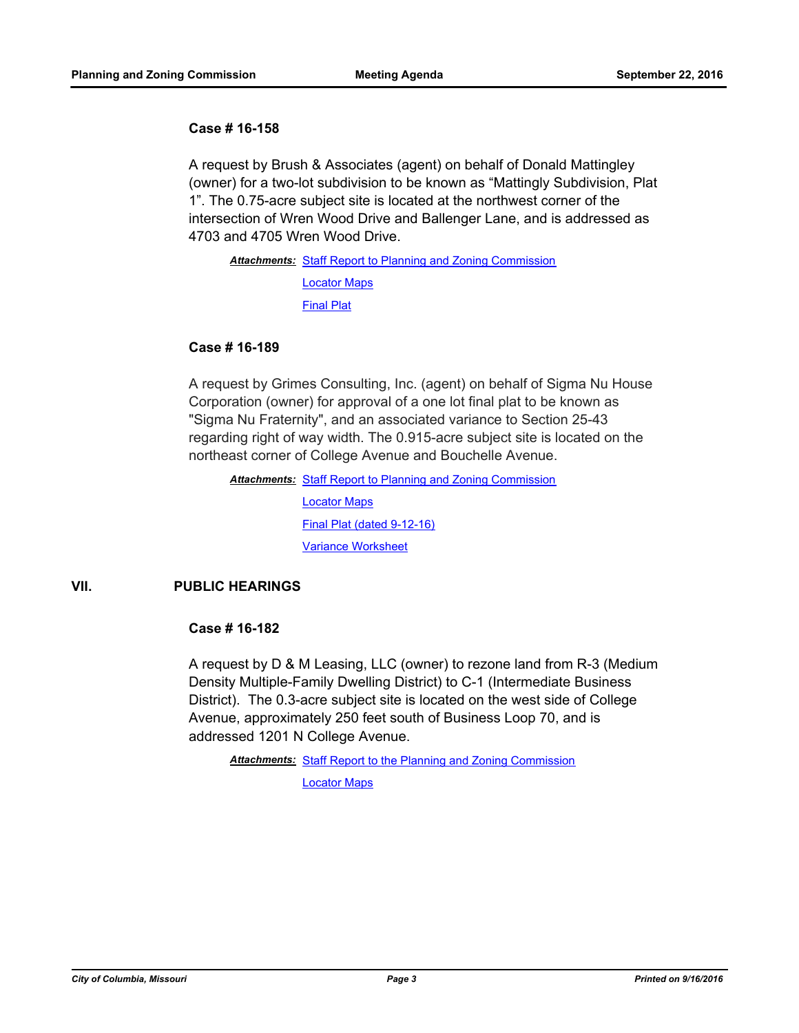#### **Case # 16-158**

A request by Brush & Associates (agent) on behalf of Donald Mattingley (owner) for a two-lot subdivision to be known as "Mattingly Subdivision, Plat 1". The 0.75-acre subject site is located at the northwest corner of the intersection of Wren Wood Drive and Ballenger Lane, and is addressed as 4703 and 4705 Wren Wood Drive.

Attachments: [Staff Report to Planning and Zoning Commission](http://gocolumbiamo.legistar.com/gateway.aspx?M=F&ID=67ab8896-e487-411b-9e9f-6453059ebb3c.docx) [Locator Maps](http://gocolumbiamo.legistar.com/gateway.aspx?M=F&ID=30b25b30-1509-437c-b5fe-5adfbf466f70.pdf) [Final Plat](http://gocolumbiamo.legistar.com/gateway.aspx?M=F&ID=65d48529-5879-4c87-a488-7451604a8e62.pdf)

#### **Case # 16-189**

A request by Grimes Consulting, Inc. (agent) on behalf of Sigma Nu House Corporation (owner) for approval of a one lot final plat to be known as "Sigma Nu Fraternity", and an associated variance to Section 25-43 regarding right of way width. The 0.915-acre subject site is located on the northeast corner of College Avenue and Bouchelle Avenue.

Attachments: [Staff Report to Planning and Zoning Commission](http://gocolumbiamo.legistar.com/gateway.aspx?M=F&ID=27f9b85c-5773-4856-ab5a-02542976ff87.pdf) [Locator Maps](http://gocolumbiamo.legistar.com/gateway.aspx?M=F&ID=bae71dd6-821c-4b53-8f73-21e43831dc4d.pdf) [Final Plat \(dated 9-12-16\)](http://gocolumbiamo.legistar.com/gateway.aspx?M=F&ID=b98003bb-3546-41f2-a0fc-f047b7c2a49c.pdf) [Variance Worksheet](http://gocolumbiamo.legistar.com/gateway.aspx?M=F&ID=cdd03997-6be0-4561-84dc-5dca0c6333b0.pdf)

## **VII. PUBLIC HEARINGS**

## **Case # 16-182**

A request by D & M Leasing, LLC (owner) to rezone land from R-3 (Medium Density Multiple-Family Dwelling District) to C-1 (Intermediate Business District). The 0.3-acre subject site is located on the west side of College Avenue, approximately 250 feet south of Business Loop 70, and is addressed 1201 N College Avenue.

Attachments: [Staff Report to the Planning and Zoning Commission](http://gocolumbiamo.legistar.com/gateway.aspx?M=F&ID=9cc76859-cb78-4980-b3c0-2927e1854718.pdf)

[Locator Maps](http://gocolumbiamo.legistar.com/gateway.aspx?M=F&ID=6ef30eeb-6557-4412-9539-4ab60bd4cd94.pdf)